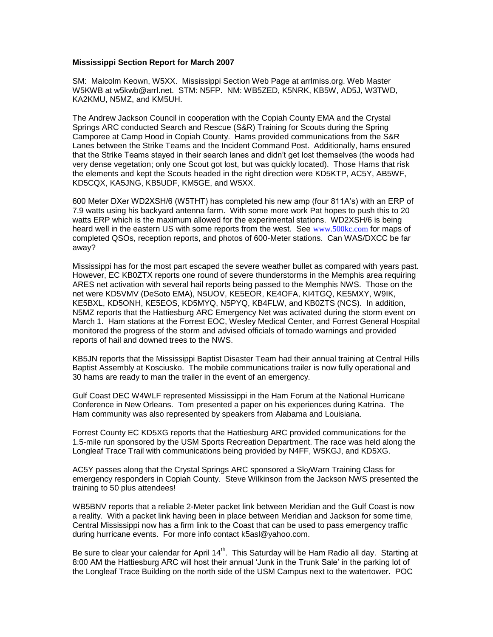## **Mississippi Section Report for March 2007**

SM: Malcolm Keown, W5XX. Mississippi Section Web Page at arrlmiss.org. Web Master W5KWB at w5kwb@arrl.net. STM: N5FP. NM: WB5ZED, K5NRK, KB5W, AD5J, W3TWD, KA2KMU, N5MZ, and KM5UH.

The Andrew Jackson Council in cooperation with the Copiah County EMA and the Crystal Springs ARC conducted Search and Rescue (S&R) Training for Scouts during the Spring Camporee at Camp Hood in Copiah County. Hams provided communications from the S&R Lanes between the Strike Teams and the Incident Command Post. Additionally, hams ensured that the Strike Teams stayed in their search lanes and didn't get lost themselves (the woods had very dense vegetation; only one Scout got lost, but was quickly located). Those Hams that risk the elements and kept the Scouts headed in the right direction were KD5KTP, AC5Y, AB5WF, KD5CQX, KA5JNG, KB5UDF, KM5GE, and W5XX.

600 Meter DXer WD2XSH/6 (W5THT) has completed his new amp (four 811A's) with an ERP of 7.9 watts using his backyard antenna farm. With some more work Pat hopes to push this to 20 watts ERP which is the maximum allowed for the experimental stations. WD2XSH/6 is being heard well in the eastern US with some reports from the west. See [www.500kc.com](http://www.500kc.com/) for maps of completed QSOs, reception reports, and photos of 600-Meter stations. Can WAS/DXCC be far away?

Mississippi has for the most part escaped the severe weather bullet as compared with years past. However, EC KB0ZTX reports one round of severe thunderstorms in the Memphis area requiring ARES net activation with several hail reports being passed to the Memphis NWS. Those on the net were KD5VMV (DeSoto EMA), N5UOV, KE5EOR, KE4OFA, KI4TGQ, KE5MXY, W9IK, KE5BXL, KD5ONH, KE5EOS, KD5MYQ, N5PYQ, KB4FLW, and KB0ZTS (NCS). In addition, N5MZ reports that the Hattiesburg ARC Emergency Net was activated during the storm event on March 1. Ham stations at the Forrest EOC, Wesley Medical Center, and Forrest General Hospital monitored the progress of the storm and advised officials of tornado warnings and provided reports of hail and downed trees to the NWS.

KB5JN reports that the Mississippi Baptist Disaster Team had their annual training at Central Hills Baptist Assembly at Kosciusko. The mobile communications trailer is now fully operational and 30 hams are ready to man the trailer in the event of an emergency.

Gulf Coast DEC W4WLF represented Mississippi in the Ham Forum at the National Hurricane Conference in New Orleans. Tom presented a paper on his experiences during Katrina. The Ham community was also represented by speakers from Alabama and Louisiana.

Forrest County EC KD5XG reports that the Hattiesburg ARC provided communications for the 1.5-mile run sponsored by the USM Sports Recreation Department. The race was held along the Longleaf Trace Trail with communications being provided by N4FF, W5KGJ, and KD5XG.

AC5Y passes along that the Crystal Springs ARC sponsored a SkyWarn Training Class for emergency responders in Copiah County. Steve Wilkinson from the Jackson NWS presented the training to 50 plus attendees!

WB5BNV reports that a reliable 2-Meter packet link between Meridian and the Gulf Coast is now a reality. With a packet link having been in place between Meridian and Jackson for some time, Central Mississippi now has a firm link to the Coast that can be used to pass emergency traffic during hurricane events. For more info contact k5asl@yahoo.com.

Be sure to clear your calendar for April 14<sup>th</sup>. This Saturday will be Ham Radio all day. Starting at 8:00 AM the Hattiesburg ARC will host their annual 'Junk in the Trunk Sale' in the parking lot of the Longleaf Trace Building on the north side of the USM Campus next to the watertower. POC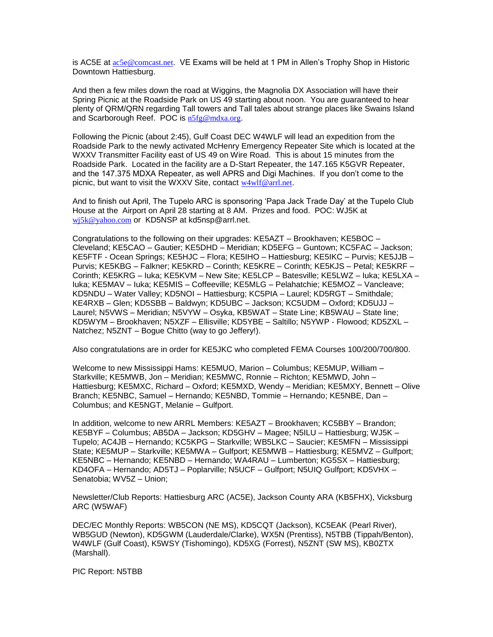is AC5E at [ac5e@comcast.net](mailto:ac5e@comcast.net). VE Exams will be held at 1 PM in Allen's Trophy Shop in Historic Downtown Hattiesburg.

And then a few miles down the road at Wiggins, the Magnolia DX Association will have their Spring Picnic at the Roadside Park on US 49 starting about noon. You are guaranteed to hear plenty of QRM/QRN regarding Tall towers and Tall tales about strange places like Swains Island and Scarborough Reef. POC is [n5fg@mdxa.org](mailto:n5fg@mdxa.org).

Following the Picnic (about 2:45), Gulf Coast DEC W4WLF will lead an expedition from the Roadside Park to the newly activated McHenry Emergency Repeater Site which is located at the WXXV Transmitter Facility east of US 49 on Wire Road. This is about 15 minutes from the Roadside Park. Located in the facility are a D-Start Repeater, the 147.165 K5GVR Repeater, and the 147.375 MDXA Repeater, as well APRS and Digi Machines. If you don't come to the picnic, but want to visit the WXXV Site, contact [w4wlf@arrl.net](mailto:w4wlf@arrl.net).

And to finish out April, The Tupelo ARC is sponsoring 'Papa Jack Trade Day' at the Tupelo Club House at the Airport on April 28 starting at 8 AM. Prizes and food. POC: WJ5K at wi5k@yahoo.com or KD5NSP at kd5nsp@arrl.net.

Congratulations to the following on their upgrades: KE5AZT – Brookhaven; KE5BOC – Cleveland; KE5CAO – Gautier; KE5DHD – Meridian; KD5EFG – Guntown; KC5FAC – Jackson; KE5FTF - Ocean Springs; KE5HJC – Flora; KE5IHO – Hattiesburg; KE5IKC – Purvis; KE5JJB – Purvis; KE5KBG – Falkner; KE5KRD – Corinth; KE5KRE – Corinth; KE5KJS – Petal; KE5KRF – Corinth; KE5KRG – Iuka; KE5KVM – New Site; KE5LCP – Batesville; KE5LWZ – Iuka; KE5LXA – Iuka; KE5MAV – Iuka; KE5MIS – Coffeeville; KE5MLG – Pelahatchie; KE5MOZ – Vancleave; KD5NDU – Water Valley; KD5NOI – Hattiesburg; KC5PIA – Laurel; KD5RGT – Smithdale; KE4RXB – Glen; KD5SBB – Baldwyn; KD5UBC – Jackson; KC5UDM – Oxford; KD5UJJ – Laurel; N5VWS – Meridian; N5VYW – Osyka, KB5WAT – State Line; KB5WAU – State line; KD5WYM – Brookhaven; N5XZF – Ellisville; KD5YBE – Saltillo; N5YWP - Flowood; KD5ZXL – Natchez; N5ZNT – Bogue Chitto (way to go Jeffery!).

Also congratulations are in order for KE5JKC who completed FEMA Courses 100/200/700/800.

Welcome to new Mississippi Hams: KE5MUO, Marion – Columbus; KE5MUP, William – Starkville; KE5MWB, Jon – Meridian; KE5MWC, Ronnie – Richton; KE5MWD, John – Hattiesburg; KE5MXC, Richard – Oxford; KE5MXD, Wendy – Meridian; KE5MXY, Bennett – Olive Branch; KE5NBC, Samuel – Hernando; KE5NBD, Tommie – Hernando; KE5NBE, Dan – Columbus; and KE5NGT, Melanie – Gulfport.

In addition, welcome to new ARRL Members: KE5AZT – Brookhaven; KC5BBY – Brandon; KE5BYF – Columbus; AB5DA – Jackson; KD5GHV – Magee; N5ILU – Hattiesburg; WJ5K – Tupelo; AC4JB – Hernando; KC5KPG – Starkville; WB5LKC – Saucier; KE5MFN – Mississippi State; KE5MUP – Starkville; KE5MWA – Gulfport; KE5MWB – Hattiesburg; KE5MVZ – Gulfport; KE5NBC – Hernando; KE5NBD – Hernando; WA4RAU – Lumberton; KG5SX – Hattiesburg; KD4OFA – Hernando; AD5TJ – Poplarville; N5UCF – Gulfport; N5UIQ Gulfport; KD5VHX – Senatobia; WV5Z – Union;

Newsletter/Club Reports: Hattiesburg ARC (AC5E), Jackson County ARA (KB5FHX), Vicksburg ARC (W5WAF)

DEC/EC Monthly Reports: WB5CON (NE MS), KD5CQT (Jackson), KC5EAK (Pearl River), WB5GUD (Newton), KD5GWM (Lauderdale/Clarke), WX5N (Prentiss), N5TBB (Tippah/Benton), W4WLF (Gulf Coast), K5WSY (Tishomingo), KD5XG (Forrest), N5ZNT (SW MS), KB0ZTX (Marshall).

PIC Report: N5TBB